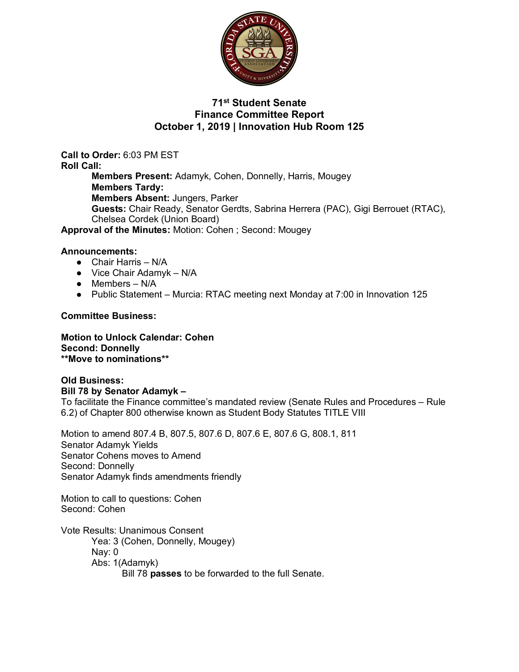

## **71st Student Senate Finance Committee Report October 1, 2019 | Innovation Hub Room 125**

**Call to Order:** 6:03 PM EST **Roll Call: Members Present:** Adamyk, Cohen, Donnelly, Harris, Mougey **Members Tardy: Members Absent:** Jungers, Parker **Guests:** Chair Ready, Senator Gerdts, Sabrina Herrera (PAC), Gigi Berrouet (RTAC), Chelsea Cordek (Union Board)

**Approval of the Minutes:** Motion: Cohen ; Second: Mougey

#### **Announcements:**

- Chair Harris N/A
- $\bullet$  Vice Chair Adamyk N/A
- $\bullet$  Members N/A
- Public Statement Murcia: RTAC meeting next Monday at 7:00 in Innovation 125

#### **Committee Business:**

**Motion to Unlock Calendar: Cohen Second: Donnelly \*\*Move to nominations\*\***

**Old Business: Bill 78 by Senator Adamyk –** To facilitate the Finance committee's mandated review (Senate Rules and Procedures – Rule 6.2) of Chapter 800 otherwise known as Student Body Statutes TITLE VIII

Motion to amend 807.4 B, 807.5, 807.6 D, 807.6 E, 807.6 G, 808.1, 811 Senator Adamyk Yields Senator Cohens moves to Amend Second: Donnelly Senator Adamyk finds amendments friendly

Motion to call to questions: Cohen Second: Cohen

Vote Results: Unanimous Consent Yea: 3 (Cohen, Donnelly, Mougey) Nay: 0 Abs: 1(Adamyk) Bill 78 **passes** to be forwarded to the full Senate.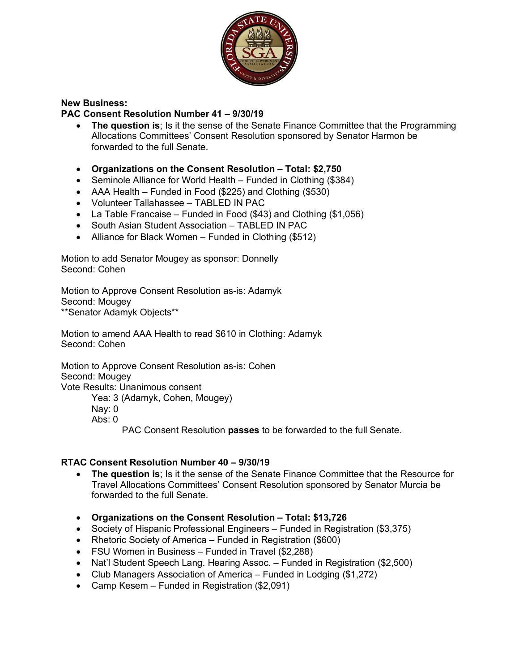

### **New Business:**

### **PAC Consent Resolution Number 41 – 9/30/19**

- **The question is**; Is it the sense of the Senate Finance Committee that the Programming Allocations Committees' Consent Resolution sponsored by Senator Harmon be forwarded to the full Senate.
- **Organizations on the Consent Resolution – Total: \$2,750**
- Seminole Alliance for World Health Funded in Clothing (\$384)
- AAA Health Funded in Food (\$225) and Clothing (\$530)
- Volunteer Tallahassee TABLED IN PAC
- La Table Francaise Funded in Food (\$43) and Clothing (\$1,056)
- South Asian Student Association TABLED IN PAC
- Alliance for Black Women Funded in Clothing (\$512)

Motion to add Senator Mougey as sponsor: Donnelly Second: Cohen

Motion to Approve Consent Resolution as-is: Adamyk Second: Mougey \*\*Senator Adamyk Objects\*\*

Motion to amend AAA Health to read \$610 in Clothing: Adamyk Second: Cohen

Motion to Approve Consent Resolution as-is: Cohen Second: Mougey Vote Results: Unanimous consent Yea: 3 (Adamyk, Cohen, Mougey)

Nay: 0

Abs: 0

PAC Consent Resolution **passes** to be forwarded to the full Senate.

### **RTAC Consent Resolution Number 40 – 9/30/19**

- **The question is**; Is it the sense of the Senate Finance Committee that the Resource for Travel Allocations Committees' Consent Resolution sponsored by Senator Murcia be forwarded to the full Senate.
- **Organizations on the Consent Resolution – Total: \$13,726**
- Society of Hispanic Professional Engineers Funded in Registration (\$3,375)
- Rhetoric Society of America Funded in Registration (\$600)
- FSU Women in Business Funded in Travel (\$2,288)
- Nat'l Student Speech Lang. Hearing Assoc. Funded in Registration (\$2,500)
- Club Managers Association of America Funded in Lodging (\$1,272)
- Camp Kesem Funded in Registration (\$2,091)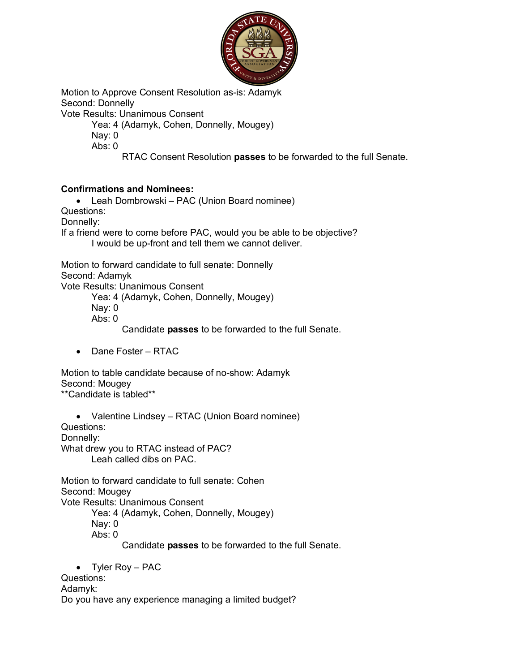

Motion to Approve Consent Resolution as-is: Adamyk Second: Donnelly

Vote Results: Unanimous Consent

Yea: 4 (Adamyk, Cohen, Donnelly, Mougey)

Nay: 0 Abs:  $0$ 

RTAC Consent Resolution **passes** to be forwarded to the full Senate.

# **Confirmations and Nominees:**

• Leah Dombrowski – PAC (Union Board nominee)

Questions:

Donnelly:

If a friend were to come before PAC, would you be able to be objective? I would be up-front and tell them we cannot deliver.

Motion to forward candidate to full senate: Donnelly Second: Adamyk

Vote Results: Unanimous Consent

Yea: 4 (Adamyk, Cohen, Donnelly, Mougey)

Nay: 0

Abs: 0

Candidate **passes** to be forwarded to the full Senate.

• Dane Foster – RTAC

Motion to table candidate because of no-show: Adamyk Second: Mougey \*\*Candidate is tabled\*\*

• Valentine Lindsey – RTAC (Union Board nominee)

Questions:

Donnelly:

What drew you to RTAC instead of PAC? Leah called dibs on PAC.

Motion to forward candidate to full senate: Cohen Second: Mougey Vote Results: Unanimous Consent Yea: 4 (Adamyk, Cohen, Donnelly, Mougey)

Nay: 0

Abs: 0

Candidate **passes** to be forwarded to the full Senate.

• Tyler Roy – PAC

Questions:

Adamyk:

Do you have any experience managing a limited budget?